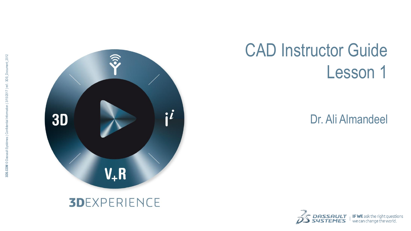

### CAD Instructor Guide Lesson 1

#### Dr. Ali Almandeel

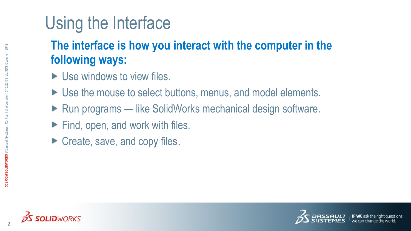## Using the Interface

#### **The interface is how you interact with the computer in the following ways:**

- ▶ Use windows to view files.
- ► Use the mouse to select buttons, menus, and model elements.
- ▶ Run programs like SolidWorks mechanical design software.
- $\blacktriangleright$  Find, open, and work with files.
- ▶ Create, save, and copy files.



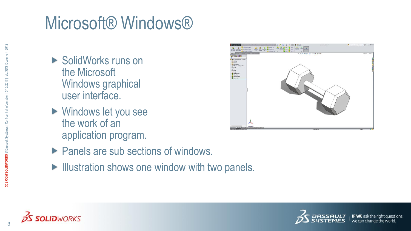#### Microsoft® Windows®

- ▶ SolidWorks runs on the Microsoft Windows graphical user interface.
- Windows let you see the work of an application program.
- $\blacktriangleright$  Panels are sub sections of windows.
- $\blacktriangleright$  Illustration shows one window with two panels.





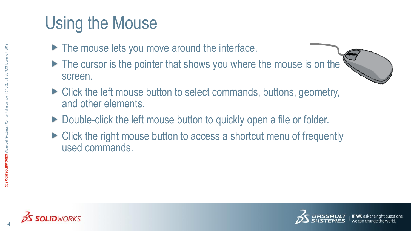## Using the Mouse

- ▶ The mouse lets you move around the interface.
- ▶ The cursor is the pointer that shows you where the mouse is on the screen.
- ► Click the left mouse button to select commands, buttons, geometry, and other elements.
- Double-click the left mouse button to quickly open a file or folder.
- Click the right mouse button to access a shortcut menu of frequently used commands.





4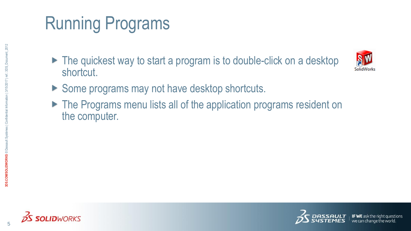# Running Programs

► The quickest way to start a program is to double-click on a desktop shortcut.



- Some programs may not have desktop shortcuts.
- ▶ The Programs menu lists all of the application programs resident on the computer.





5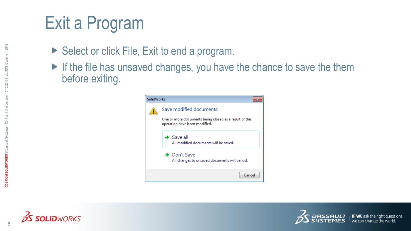### Exit a Program

- ▶ Select or click File, Exit to end a program.
- **If the file has unsaved changes, you have the chance to save the them** before exiting.





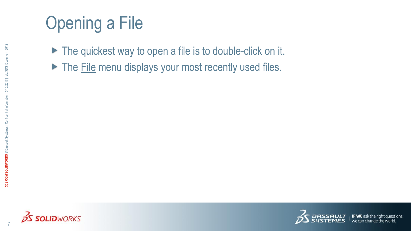## Opening a File

- ► The quickest way to open a file is to double-click on it.
- The File menu displays your most recently used files.



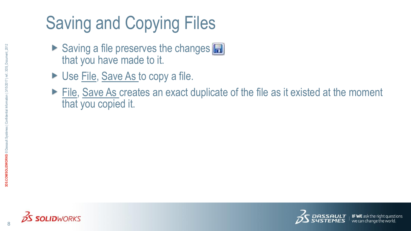# Saving and Copying Files

- Saving a file preserves the changes that you have made to it.
- ► Use File, Save As to copy a file.
- File, Save As creates an exact duplicate of the file as it existed at the moment that you copied it.



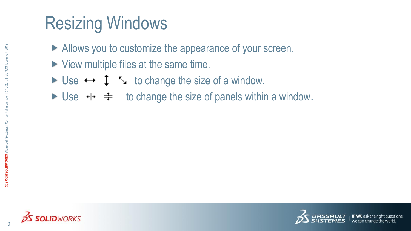## Resizing Windows

- Allows you to customize the appearance of your screen.
- $\blacktriangleright$  View multiple files at the same time.
- $\triangleright$  Use  $\leftrightarrow$   $\downarrow$   $\searrow$  to change the size of a window.
- $\triangleright$  Use  $\dashv\vdash \cong$  to change the size of panels within a window.



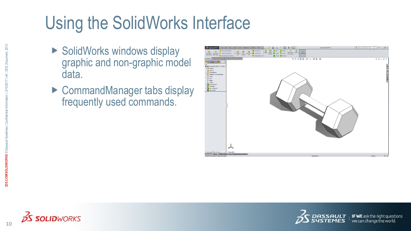## Using the SolidWorks Interface

- ▶ SolidWorks windows display graphic and non-graphic model data.
- ► CommandManager tabs display frequently used commands.





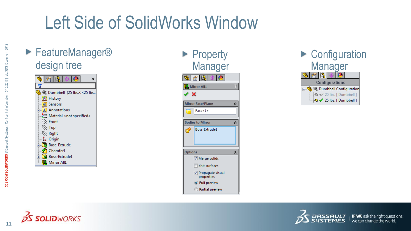### Left Side of SolidWorks Window

▶ FeatureManager® design tree











 $\mathcal{C}$  | **IF WE** ask the right questions<br>| we can change the world.

11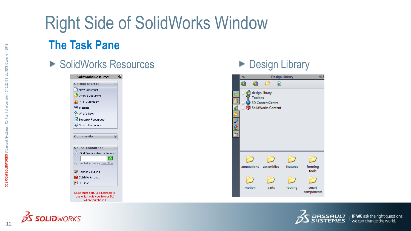#### Right Side of SolidWorks Window **The Task Pane**

#### ▶ SolidWorks Resources









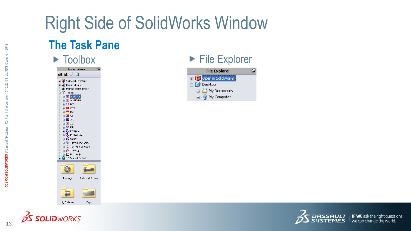### Right Side of SolidWorks Window

#### **The Task Pane**

| Toolbox                                                                                                                                                                                                                                                                                                                                                                                                            |
|--------------------------------------------------------------------------------------------------------------------------------------------------------------------------------------------------------------------------------------------------------------------------------------------------------------------------------------------------------------------------------------------------------------------|
| Q<br><b>Design Library</b>                                                                                                                                                                                                                                                                                                                                                                                         |
| 胡謝づま                                                                                                                                                                                                                                                                                                                                                                                                               |
| <b>Fill SolidWorks Content</b><br>Design Library<br>क्ष्मी training design library<br>$-$ Toolbox<br>Ansi Inch<br>Ansi Metric<br>中 BB BSI<br><b>EN CISC</b><br><b>E</b> DIN<br>E & GB<br>$\blacksquare$ 30<br>$\mathbf{H}$ $\mathbf{I}$ $\mathbf{H}$<br>面图 MIL<br>中等 PEM® Inch<br>PEM® Metric<br><b>B</b> <sup>o'</sup> SKF®<br>in land Torrington® Inch<br><b>Election</b> Torrington® Metric<br><b>C</b> Truarc® |
| - [ ] Unistrut®<br>3D ContentCentral<br>H                                                                                                                                                                                                                                                                                                                                                                          |
| <b>Bolts and Screws</b><br>Bearings                                                                                                                                                                                                                                                                                                                                                                                |
|                                                                                                                                                                                                                                                                                                                                                                                                                    |

Jig Bushings

**2S SOLID**WORKS

Keys

#### ► File Explorer



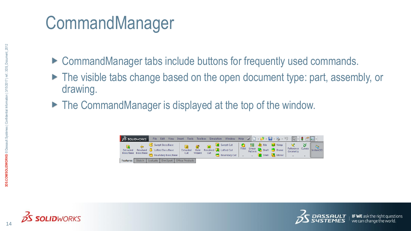## **CommandManager**

- ► CommandManager tabs include buttons for frequently used commands.
- ► The visible tabs change based on the open document type: part, assembly, or drawing.
- ► The CommandManager is displayed at the top of the window.